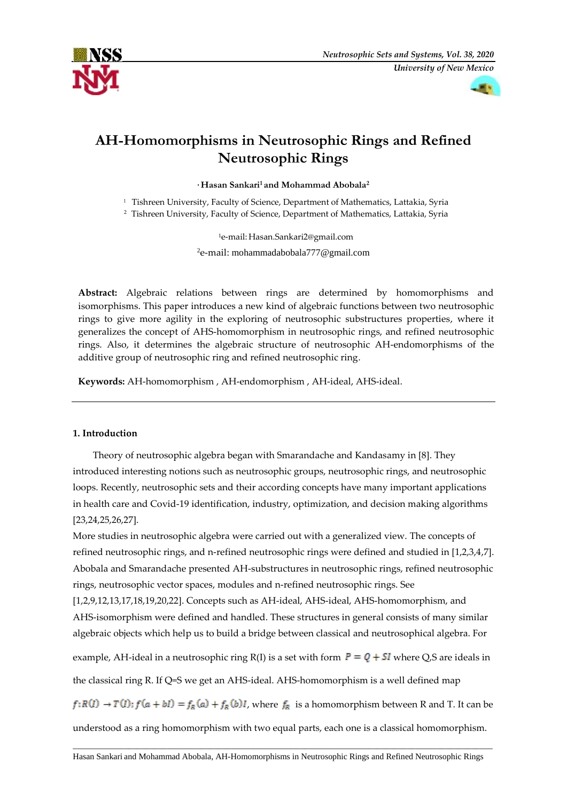



# **AH-Homomorphisms in Neutrosophic Rings and Refined Neutrosophic Rings**

**, Hasan Sankari<sup>1</sup> and Mohammad Abobala<sup>2</sup>**

<sup>1</sup> Tishreen University, Faculty of Science, Department of Mathematics, Lattakia, Syria

<sup>2</sup> Tishreen University, Faculty of Science, Department of Mathematics, Lattakia, Syria

<sup>1</sup>e-mail: Hasan.Sankari2@gmail.com <sup>2</sup>e-mail: mohammadabobala777@gmail.com

**Abstract:** Algebraic relations between rings are determined by homomorphisms and isomorphisms. This paper introduces a new kind of algebraic functions between two neutrosophic rings to give more agility in the exploring of neutrosophic substructures properties, where it generalizes the concept of AHS-homomorphism in neutrosophic rings, and refined neutrosophic rings. Also, it determines the algebraic structure of neutrosophic AH-endomorphisms of the additive group of neutrosophic ring and refined neutrosophic ring.

**Keywords:** AH-homomorphism , AH-endomorphism , AH-ideal, AHS-ideal.

# **1. Introduction**

Theory of neutrosophic algebra began with Smarandache and Kandasamy in [8]. They introduced interesting notions such as neutrosophic groups, neutrosophic rings, and neutrosophic loops. Recently, neutrosophic sets and their according concepts have many important applications in health care and Covid-19 identification, industry, optimization, and decision making algorithms [23,24,25,26,27].

More studies in neutrosophic algebra were carried out with a generalized view. The concepts of refined neutrosophic rings, and n-refined neutrosophic rings were defined and studied in [1,2,3,4,7]. Abobala and Smarandache presented AH-substructures in neutrosophic rings, refined neutrosophic rings, neutrosophic vector spaces, modules and n-refined neutrosophic rings. See

[1,2,9,12,13,17,18,19,20,22]. Concepts such as AH-ideal, AHS-ideal, AHS-homomorphism, and AHS-isomorphism were defined and handled. These structures in general consists of many similar algebraic objects which help us to build a bridge between classical and neutrosophical algebra. For

example, AH-ideal in a neutrosophic ring R(I) is a set with form  $P = Q + SI$  where Q,S are ideals in

the classical ring R. If Q=S we get an AHS-ideal. AHS-homomorphism is a well defined map

 $f: R(I) \to T(I); f(a + bI) = f_R(a) + f_R(b)I$ , where  $f_R$  is a homomorphism between R and T. It can be

understood as a ring homomorphism with two equal parts, each one is a classical homomorphism.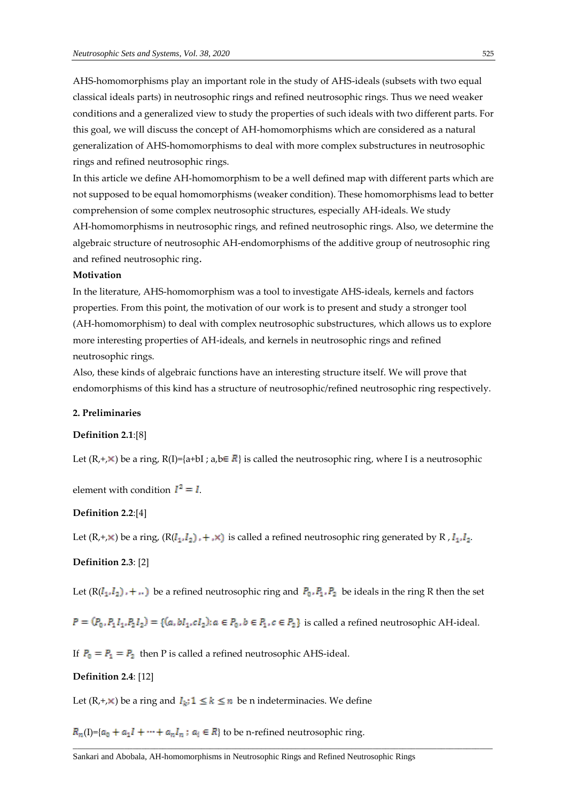AHS-homomorphisms play an important role in the study of AHS-ideals (subsets with two equal classical ideals parts) in neutrosophic rings and refined neutrosophic rings. Thus we need weaker conditions and a generalized view to study the properties of such ideals with two different parts. For this goal, we will discuss the concept of AH-homomorphisms which are considered as a natural generalization of AHS-homomorphisms to deal with more complex substructures in neutrosophic rings and refined neutrosophic rings.

In this article we define AH-homomorphism to be a well defined map with different parts which are not supposed to be equal homomorphisms (weaker condition). These homomorphisms lead to better comprehension of some complex neutrosophic structures, especially AH-ideals. We study AH-homomorphisms in neutrosophic rings, and refined neutrosophic rings. Also, we determine the

algebraic structure of neutrosophic AH-endomorphisms of the additive group of neutrosophic ring and refined neutrosophic ring.

# **Motivation**

In the literature, AHS-homomorphism was a tool to investigate AHS-ideals, kernels and factors properties. From this point, the motivation of our work is to present and study a stronger tool (AH-homomorphism) to deal with complex neutrosophic substructures, which allows us to explore more interesting properties of AH-ideals, and kernels in neutrosophic rings and refined neutrosophic rings.

Also, these kinds of algebraic functions have an interesting structure itself. We will prove that endomorphisms of this kind has a structure of neutrosophic/refined neutrosophic ring respectively.

## **2. Preliminaries**

#### **Definition 2.1**:[8]

Let  $(R, +, \times)$  be a ring,  $R(I) = \{a+bI; a,b \in \mathbb{R}\}$  is called the neutrosophic ring, where I is a neutrosophic

element with condition  $I^2 = I$ .

## **Definition 2.2**:[4]

Let  $(R, +, \times)$  be a ring,  $(R(I_1, I_2), +, \times)$  is called a refined neutrosophic ring generated by R,  $I_1, I_2$ .

# **Definition 2.3**: [2]

Let  $(R(I_1, I_2) + ...)$  be a refined neutrosophic ring and  $P_0, P_1, P_2$  be ideals in the ring R then the set

 $P = (P_0, P_1 I_1, P_2 I_2) = \{(a, bl_1, cl_2): a \in P_0, b \in P_1, c \in P_2\}$  is called a refined neutrosophic AH-ideal.

 $\Box$ 

If  $P_0 = P_1 = P_2$  then P is called a refined neutrosophic AHS-ideal.

## **Definition 2.4**: [12]

Let  $(R, +, \times)$  be a ring and  $I_k$ ;  $1 \le k \le n$  be n indeterminacies. We define

 $R_n(I)$ ={ $a_0 + a_1I + \cdots + a_nI_n$ ;  $a_i \in R$ } to be n-refined neutrosophic ring.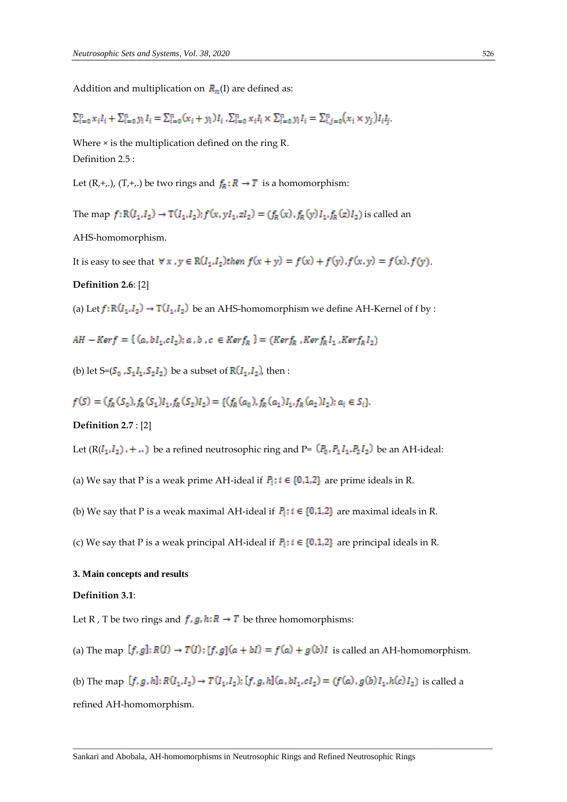Addition and multiplication on  $R_n(I)$  are defined as:

$$
\sum_{i=0}^{n} x_i I_i + \sum_{i=0}^{n} y_i I_i = \sum_{i=0}^{n} (x_i + y_i) I_i, \sum_{i=0}^{n} x_i I_i \times \sum_{i=0}^{n} y_i I_i = \sum_{i,j=0}^{n} (x_i \times y_j) I_i I_j.
$$

Where × is the multiplication defined on the ring R. Definition 2.5 :

Let  $(R, +, .), (T, +, .)$  be two rings and  $f_R: R \to T$  is a homomorphism:

The map  $f: R(I_1,I_2) \to T(I_1,I_2); f(x,yI_1, zI_2) = (f_R(x), f_R(y)I_1, f_R(z)I_2)$  is called an

AHS-homomorphism.

It is easy to see that  $\forall x, y \in R(I_1, I_2)$  then  $f(x + y) = f(x) + f(y)$ ,  $f(x, y) = f(x)$ ,  $f(y)$ .

# **Definition 2.6**: [2]

(a) Let  $f: \mathbb R(I_1,I_2) \to \mathbb T(I_1,I_2)$  be an AHS-homomorphism we define AH-Kernel of f by :

$$
AH - Ker f = \{ (a, bI_1, cI_2); a, b, c \in Ker f_R \} = (Ker f_R, Ker f_R I_1, Ker f_R I_2)
$$

(b) let S=( $S_0$ ,  $S_1I_1$ ,  $S_2I_2$ ) be a subset of  $R(I_1, I_2)$ , then :

$$
f(S) = (f_R(S_0), f_R(S_1)I_1, f_R(S_2)I_2) = \{ (f_R(a_0), f_R(a_1)I_1, f_R(a_2)I_2) ; a_i \in S_i \}
$$

## **Definition 2.7** : [2]

Let  $(R(I_1, I_2)$ , + ..) be a refined neutrosophic ring and P=  $(P_0, P_1 I_1, P_2 I_2)$  be an AH-ideal:

- (a) We say that P is a weak prime AH-ideal if  $P_i$ ;  $i \in \{0,1,2\}$  are prime ideals in R.
- (b) We say that P is a weak maximal AH-ideal if  $P_i$ ;  $i \in \{0,1,2\}$  are maximal ideals in R.
- (c) We say that P is a weak principal AH-ideal if  $P_i$ ;  $i \in \{0,1,2\}$  are principal ideals in R.

#### **3. Main concepts and results**

#### **Definition 3.1**:

Let R, T be two rings and  $f$ ,  $g$ ,  $h: R \rightarrow T$  be three homomorphisms:

(a) The map  $[f, g]: R(I) \to T(I): [f, g](a + bI) = f(a) + g(b)I$  is called an AH-homomorphism.

(b) The map  $[f, g, h]: R(I_1, I_2) \to T(I_1, I_2); [f, g, h](a, bl_1, cl_2) = (f(a), g(b)I_1, h(c)I_2)$  is called a

 $\Box$ 

refined AH-homomorphism.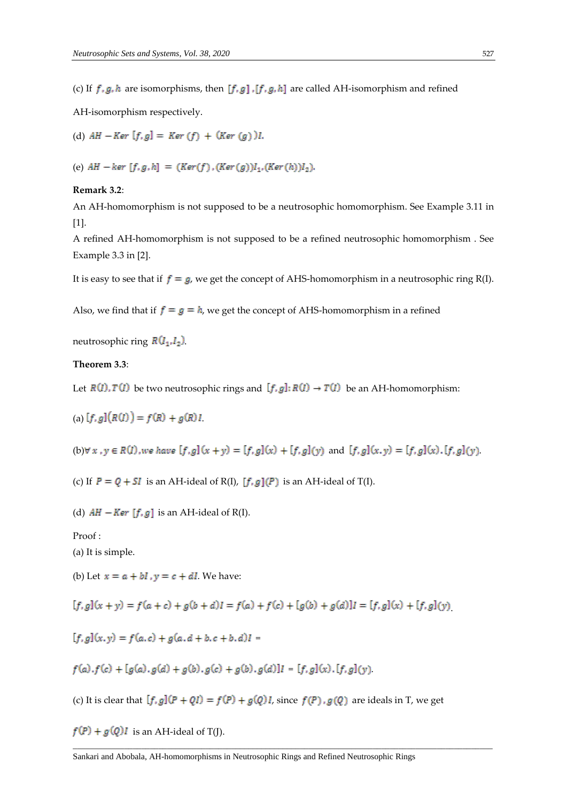(c) If  $f, g, h$  are isomorphisms, then  $[f, g]$  ,  $[f, g, h]$  are called AH-isomorphism and refined

AH-isomorphism respectively.

(d) 
$$
AH - Ker [f, g] = Ker (f) + (Ker (g))I
$$
.

(e)  $AH - ker [f, g, h] = (Ker(f), (Ker(g))I_1, (Ker(h))I_2).$ 

## **Remark 3.2**:

An AH-homomorphism is not supposed to be a neutrosophic homomorphism. See Example 3.11 in [1].

A refined AH-homomorphism is not supposed to be a refined neutrosophic homomorphism . See Example 3.3 in [2].

It is easy to see that if  $f = g$ , we get the concept of AHS-homomorphism in a neutrosophic ring R(I).

Also, we find that if  $f = g = h$ , we get the concept of AHS-homomorphism in a refined

neutrosophic ring  $R(I_1,I_2)$ .

## **Theorem 3.3**:

Let  $R(I), T(I)$  be two neutrosophic rings and  $[f, g]: R(I) \to T(I)$  be an AH-homomorphism:

$$
(a) [f, g] (R(I)) = f(R) + g(R)I
$$

(b)  $\forall x, y \in R(I)$ , we have  $[f,g](x+y) = [f,g](x) + [f,g](y)$  and  $[f,g](x,y) = [f,g](x)$ .  $[f,g](y)$ .

(c) If  $P = Q + SI$  is an AH-ideal of R(I),  $[f, g](P)$  is an AH-ideal of T(I).

(d)  $AH - Ker [f, g]$  is an AH-ideal of R(I).

Proof :

(a) It is simple.

(b) Let  $x = a + bl$ ,  $y = c + dl$ . We have:

 $[f, g](x + y) = f(a + c) + g(b + d)I = f(a) + f(c) + [g(b) + g(d)]I = [f, g](x) + [f, g](y)$ 

$$
[f, g](x, y) = f(a, c) + g(a, d + b, c + b, d)I =
$$

 $f(a) \cdot f(c) + [g(a) \cdot g(d) + g(b) \cdot g(c) + g(b) \cdot g(d)]I = [f, g](x) \cdot [f, g](y)$ 

(c) It is clear that  $[f, g](P + QI) = f(P) + g(Q)I$ , since  $f(P), g(Q)$  are ideals in T, we get

 $\Box$ 

 $f(P) + g(Q)I$  is an AH-ideal of T(J).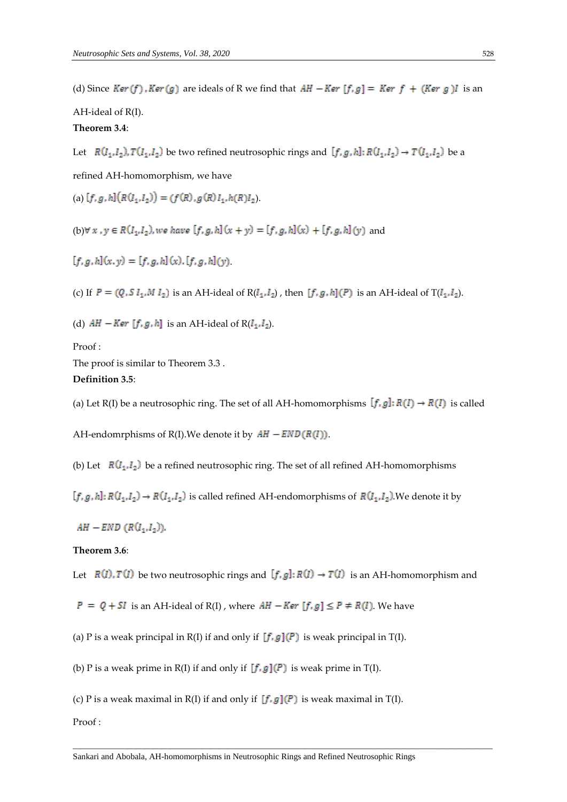(d) Since  $Ker(f)$ ,  $Ker(g)$  are ideals of R we find that  $AH - Ker [f,g] = Ker f + (Ker g)I$  is an

AH-ideal of R(I).

# **Theorem 3.4**:

Let  $R(I_1,I_2), T(I_1,I_2)$  be two refined neutrosophic rings and  $[f,g,h]: R(I_1,I_2) \to T(I_1,I_2)$  be a

refined AH-homomorphism, we have

(a)  $[f, g, h](R(I_1, I_2)) = (f(R), g(R)I_1, h(R)I_2).$ 

(b) $\forall x, y \in R(I_1, I_2)$ , we have  $[f, g, h](x + y) = [f, g, h](x) + [f, g, h](y)$  and

 $[f, g, h](x, y) = [f, g, h](x)$ ,  $[f, g, h](y)$ .

(c) If  $P = (Q, S I_1, M I_2)$  is an AH-ideal of  $R(I_1, I_2)$ , then  $[f, g, h](P)$  is an AH-ideal of  $T(I_1, I_2)$ .

(d)  $AH - Ker [f, g, h]$  is an AH-ideal of  $R(I_1, I_2)$ .

Proof :

The proof is similar to Theorem 3.3 . **Definition 3.5**:

(a) Let R(I) be a neutrosophic ring. The set of all AH-homomorphisms  $[f, g]: R(I) \to R(I)$  is called

AH-endomrphisms of R(I). We denote it by  $AH - END(R(I))$ .

(b) Let  $R(I_1,I_2)$  be a refined neutrosophic ring. The set of all refined AH-homomorphisms

 $[f, g, h]: R(I_1, I_2) \to R(I_1, I_2)$  is called refined AH-endomorphisms of  $R(I_1, I_2)$ . We denote it by

 $AH$  – END  $(R(I_1,I_2))$ .

# **Theorem 3.6**:

Let  $R(I), T(I)$  be two neutrosophic rings and  $[f, g]: R(I) \to T(I)$  is an AH-homomorphism and

 $P = Q + SI$  is an AH-ideal of R(I), where  $AH - Ker [f, g] \le P \ne R(I)$ . We have

(a) P is a weak principal in R(I) if and only if  $[f, g](P)$  is weak principal in T(I).

(b) P is a weak prime in R(I) if and only if  $[f, g](P)$  is weak prime in T(I).

(c) P is a weak maximal in R(I) if and only if  $[f, g](P)$  is weak maximal in T(I).

Proof :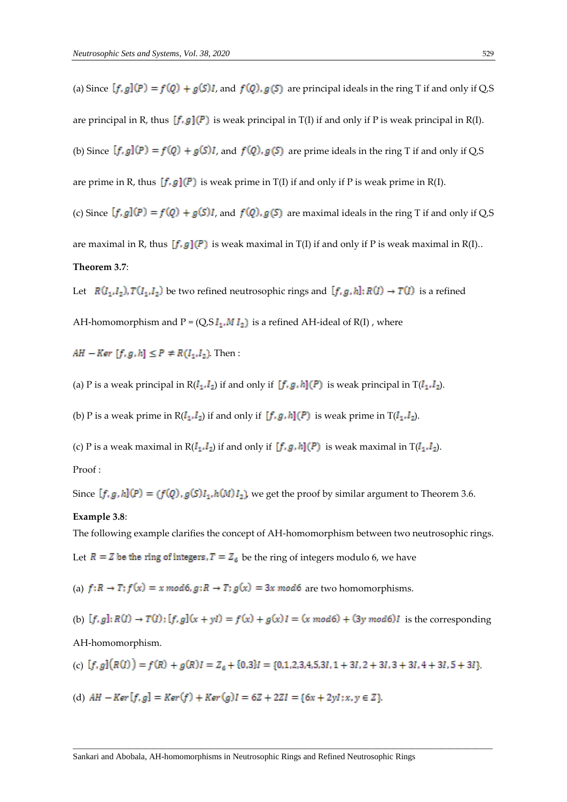(a) Since  $[f, g](P) = f(Q) + g(S)I$ , and  $f(Q), g(S)$  are principal ideals in the ring T if and only if Q,S are principal in R, thus  $[f, g](P)$  is weak principal in T(I) if and only if P is weak principal in R(I). (b) Since  $[f, g](P) = f(Q) + g(S)I$ , and  $f(Q), g(S)$  are prime ideals in the ring T if and only if Q,S are prime in R, thus  $[f, g](P)$  is weak prime in T(I) if and only if P is weak prime in R(I). (c) Since  $[f, g](P) = f(Q) + g(S)I$ , and  $f(Q), g(S)$  are maximal ideals in the ring T if and only if Q,S are maximal in R, thus  $[f, g](P)$  is weak maximal in T(I) if and only if P is weak maximal in R(I).. **Theorem 3.7**:

Let  $R(I_1,I_2), T(I_1,I_2)$  be two refined neutrosophic rings and  $[f,g,h]: R(I) \to T(I)$  is a refined AH-homomorphism and  $P = (Q, S I_1, M I_2)$  is a refined AH-ideal of R(I), where

 $AH - Ker [f, g, h] \le P \ne R(I_1, I_2)$ . Then:

(a) P is a weak principal in  $R(I_1, I_2)$  if and only if  $[f, g, h](P)$  is weak principal in  $T(I_1, I_2)$ .

(b) P is a weak prime in  $R(I_1, I_2)$  if and only if  $[f, g, h](P)$  is weak prime in  $T(I_1, I_2)$ .

(c) P is a weak maximal in  $R(I_1, I_2)$  if and only if  $[f, g, h](P)$  is weak maximal in  $T(I_1, I_2)$ .

# Proof :

Since  $[f, g, h](P) = (f(Q), g(S)I_1, h(M)I_2)$ , we get the proof by similar argument to Theorem 3.6.

# **Example 3.8**:

The following example clarifies the concept of AH-homomorphism between two neutrosophic rings.

Let  $R = Z$  be the ring of integers,  $T = Z_6$  be the ring of integers modulo 6, we have

(a)  $f: R \to T$ ;  $f(x) = x \mod 6$ ,  $g: R \to T$ ;  $g(x) = 3x \mod 6$  are two homomorphisms.

(b)  $[f, g]: R(I) \rightarrow T(I): [f, g](x + yI) = f(x) + g(x)I = (x \mod 6) + (3y \mod 6)I$  is the corresponding

#### AH-homomorphism.

(c) 
$$
[f,g](R(I)) = f(R) + g(R)I = Z_6 + \{0,3\}I = \{0,1,2,3,4,5,3I,1+3I,2+3I,3+3I,4+3I,5+3I\}
$$

 $\Box$ 

(d)  $AH - Ker[f, g] = Ker(f) + Ker(g)I = 6Z + 2ZI = {6x + 2vl : x, v \in Z}$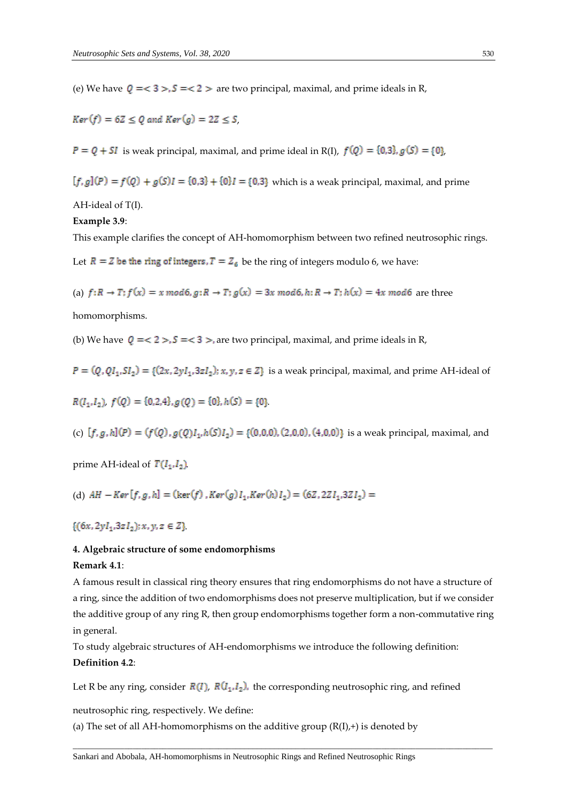(e) We have  $Q = < 3 > S = < 2 >$  are two principal, maximal, and prime ideals in R,

 $Ker(f) = 6Z \le Q$  and  $Ker(g) = 2Z \le S$ ,

 $P = Q + SI$  is weak principal, maximal, and prime ideal in R(I),  $f(Q) = \{0,3\}$ ,  $g(S) = \{0\}$ ,

 $[f, g](P) = f(Q) + g(S)I = \{0,3\} + \{0\}I = \{0,3\}$  which is a weak principal, maximal, and prime

AH-ideal of T(I).

## **Example 3.9**:

This example clarifies the concept of AH-homomorphism between two refined neutrosophic rings.

Let  $R = Z$  be the ring of integers,  $T = Z_6$  be the ring of integers modulo 6, we have:

(a)  $f:R \to T$ ;  $f(x) = x \mod 6$ ,  $g:R \to T$ ;  $g(x) = 3x \mod 6$ ,  $h:R \to T$ ;  $h(x) = 4x \mod 6$  are three

homomorphisms.

(b) We have  $Q = < 2 > S = < 3 >$ , are two principal, maximal, and prime ideals in R,

 $P = (Q, QI_1, SI_2) = \{(2x, 2yI_1, 3zI_2); x, y, z \in Z\}$  is a weak principal, maximal, and prime AH-ideal of

 $R(I_1,I_2)$ ,  $f(Q) = \{0,2,4\}$ ,  $g(Q) = \{0\}$ ,  $h(S) = \{0\}$ 

(c)  $[f, g, h](P) = (f(Q), g(Q)I_1, h(S)I_2) = \{(0, 0, 0), (2, 0, 0), (4, 0, 0)\}$  is a weak principal, maximal, and

prime AH-ideal of  $T(I_1,I_2)$ .

(d) 
$$
AH - Ker[f, g, h] = (ker(f), Ker(g)I_1, Ker(h)I_2) = (6Z, 2ZI_1, 3ZI_2) =
$$

 $\{(6x, 2yI_1, 3zI_2); x, y, z \in Z\}$ 

## **4. Algebraic structure of some endomorphisms**

## **Remark 4.1**:

A famous result in classical ring theory ensures that ring endomorphisms do not have a structure of a ring, since the addition of two endomorphisms does not preserve multiplication, but if we consider the additive group of any ring R, then group endomorphisms together form a non-commutative ring in general.

To study algebraic structures of AH-endomorphisms we introduce the following definition: **Definition 4.2**:

Let R be any ring, consider  $R(I)$ ,  $R(I_1, I_2)$ , the corresponding neutrosophic ring, and refined

 $\Box$ 

neutrosophic ring, respectively. We define:

(a) The set of all AH-homomorphisms on the additive group  $(R(I),+)$  is denoted by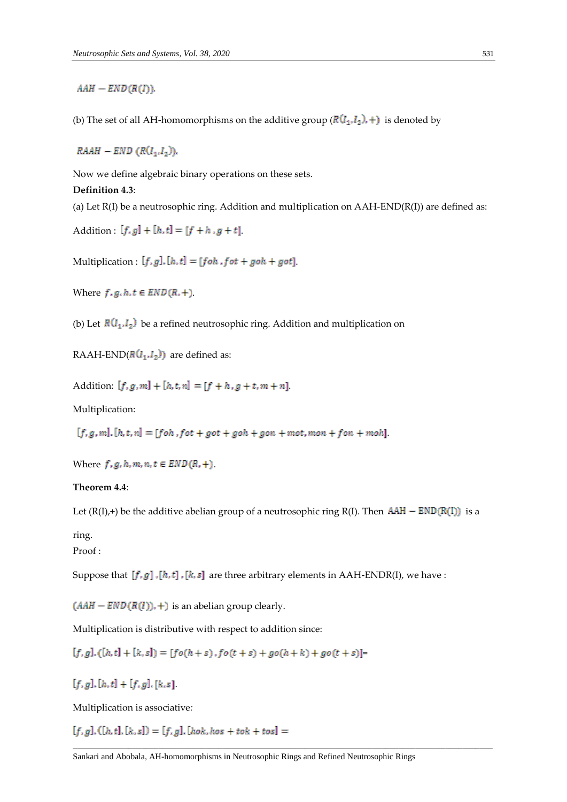# $AAH - END(R(I))$ .

(b) The set of all AH-homomorphisms on the additive group  $(R(I_1,I_2),+)$  is denoted by

 $RAAH - END (R(I<sub>1</sub>, I<sub>2</sub>)).$ 

Now we define algebraic binary operations on these sets.

#### **Definition 4.3**:

(a) Let  $R(I)$  be a neutrosophic ring. Addition and multiplication on  $AAH-END(R(I))$  are defined as:

Addition :  $[f, g] + [h, t] = [f + h, g + t]$ .

Multiplication :  $[f, g]$ .  $[h, t] = [f \circ h, f \circ t + g \circ h + g \circ t]$ .

Where  $f, g, h, t \in END(R, +)$ .

(b) Let  $R(I_1, I_2)$  be a refined neutrosophic ring. Addition and multiplication on

RAAH-END( $R(I_1, I_2)$ ) are defined as:

Addition:  $[f, g, m] + [h, t, n] = [f + h, g + t, m + n]$ .

Multiplication:

 $[f, g, m]$ ,  $[h, t, n] = [f \circ h, f \circ t + g \circ t + g \circ h + g \circ n + m \circ t, m \circ n + f \circ n + m \circ h]$ 

Where  $f, g, h, m, n, t \in END(R, +)$ .

# **Theorem 4.4**:

Let  $(R(I),+)$  be the additive abelian group of a neutrosophic ring  $R(I)$ . Then  $AAH - END(R(I))$  is a

# ring.

Proof :

Suppose that  $[f, g]$ ,  $[h, t]$ ,  $[k, s]$  are three arbitrary elements in AAH-ENDR(I), we have :

 $(AAH - END(R(I)),+)$  is an abelian group clearly.

Multiplication is distributive with respect to addition since:

 $[f, g], ([h, t] + [k, s]) = [fo(h + s), fo(t + s) + go(h + k) + go(t + s)]$ 

 $[f, g], [h, t] + [f, g], [k, s]$ 

Multiplication is associative*:*

 $[f, g]$ . ([h, t]. [k, s]) = [f, g]. [hok, hos + tok + tos] =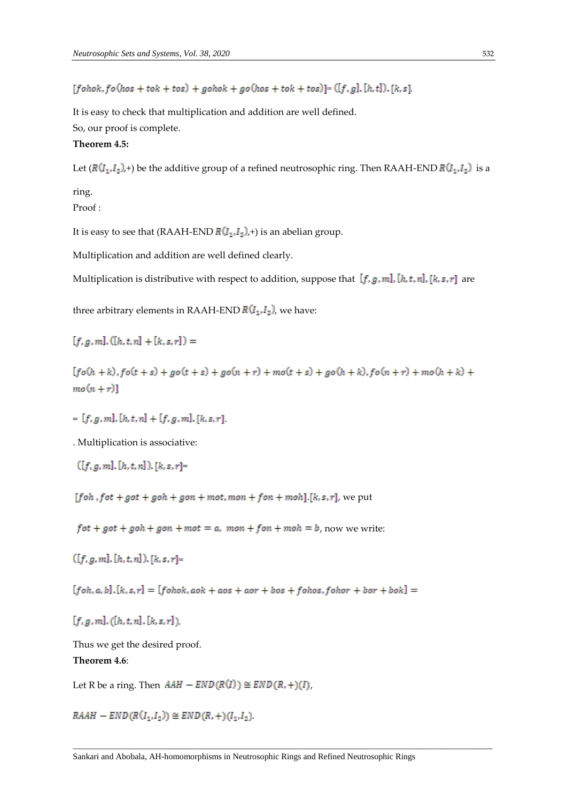$[fohok, fo(hos + tok + tos) + gohok + go(hos + tok + tos)] = ([f, g], [h, t]), [k, s]$ 

It is easy to check that multiplication and addition are well defined.

So, our proof is complete.

# **Theorem 4.5:**

Let  $(R(I_1,I_2),+)$  be the additive group of a refined neutrosophic ring. Then RAAH-END  $R(I_1,I_2)$  is a

ring.

Proof :

It is easy to see that (RAAH-END  $R(I_1, I_2)$ ,+) is an abelian group.

Multiplication and addition are well defined clearly.

Multiplication is distributive with respect to addition, suppose that  $[f, g, m]$ , [h, t, n], [k, s, r] are

three arbitrary elements in RAAH-END  $R(I_1, I_2)$ , we have:

 $[f, g, m], ([h, t, n] + [k, s, r]) =$ 

 $[fo(h+k), fo(t + s) + go(t + s) + go(n + r) + mo(t + s) + go(h+k), fo(n + r) + mo(h+k) +$  $mo(n+r)]$ 

 $=[f, g, m], [h, t, n] + [f, g, m], [k, s, r]$ 

. Multiplication is associative:

$$
([f,g,m],[h,t,n]), [k,s,r] =
$$

 $\sim$ 

[foh, fot + got + goh + gon + mot, mon + fon + moh] [k, s, r], we put

 $fot + got + goh + gon + mot = a$ ,  $mon + fon + moh = b$ , now we write:

 $([f, g, m], [h, t, n]), [k, s, r] =$ 

 $[foh, a, b]$ ,  $[k, s, r] = [fohok, aok + aos + aor + bos + fohos, fohor + bor + bok] =$ 

 $[t, q, m], ([h, t, n], [k, s, r])$ 

Thus we get the desired proof.

# **Theorem 4.6**:

Let R be a ring. Then  $AAH - END(R(I)) \cong END(R,+)(I)$ ,

 $RAAH = END(R(I_1,I_2)) \cong END(R,+)(I_1,I_2)$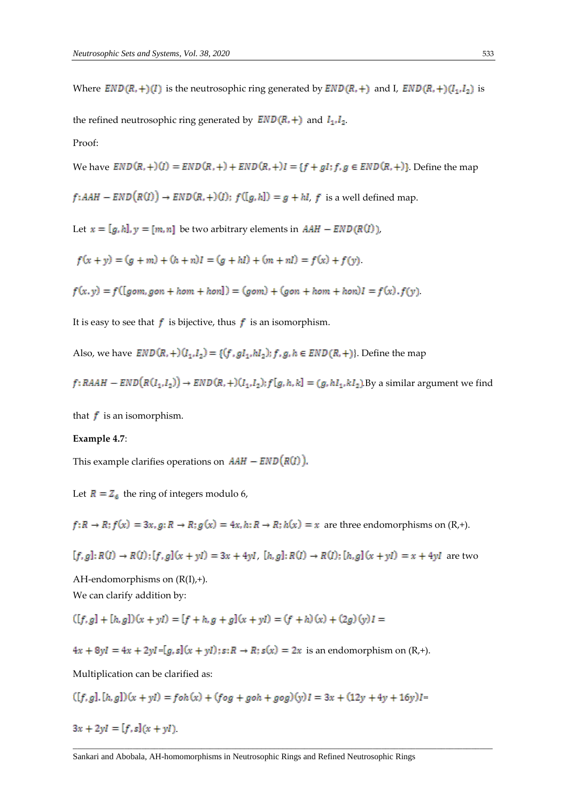Where  $END(R, +)(I)$  is the neutrosophic ring generated by  $END(R, +)$  and I,  $END(R, +)(I<sub>1</sub>, I<sub>2</sub>)$  is

the refined neutrosophic ring generated by  $END(R,+)$  and  $I_1, I_2$ .

Proof:

We have  $END(R,+)$   $(I) = END(R,+) + END(R,+)$   $I = \{f + gl; f, g \in END(R,+) \}$ . Define the map

 $f: AAH - END(R(I)) \rightarrow END(R, +)(I);$   $f([g, h]) = g + hl$ , f is a well defined map.

Let  $x = [g, h], y = [m, n]$  be two arbitrary elements in  $AAH - END(R(I)),$ 

 $f(x + y) = (g + m) + (h + n)I = (g + hl) + (m + nl) = f(x) + f(y)$ .

 $f(x, y) = f([gom, gon + hom + hon]) = (gom) + (gon + hom + hon)I = f(x).f(y)$ 

It is easy to see that  $f$  is bijective, thus  $f$  is an isomorphism.

Also, we have  $END(R,+)$  $(I_1,I_2) = \{(f,gl_1,hl_2); f, g, h \in END(R,+) \}$ . Define the map

 $f:RAAH = END(R(I_1,I_2)) \rightarrow END(R,+)(I_1,I_2);$   $f[g,h,k] = (g,hI_1,kI_2)$ . By a similar argument we find

that  $f$  is an isomorphism.

# **Example 4.7**:

This example clarifies operations on  $AAH - END(R(I))$ .

Let  $R = Z_6$  the ring of integers modulo 6,

 $f: R \to R$ ;  $f(x) = 3x$ ,  $g: R \to R$ ;  $g(x) = 4x$ ,  $h: R \to R$ ;  $h(x) = x$  are three endomorphisms on  $(R,+)$ .

$$
[f, g] \colon R(I) \to R(I) \colon [f, g](x + yI) = 3x + 4yI, [h, g] \colon R(I) \to R(I) \colon [h, g](x + yI) = x + 4yI \text{ are two}
$$

AH-endomorphisms on  $(R(I),+)$ . We can clarify addition by:

$$
([f, g] + [h, g])(x + yI) = [f + h, g + g](x + yI) = (f + h)(x) + (2g)(y)I =
$$

 $4x + 8yI = 4x + 2yI = [g, s](x + yI);$   $s: R \rightarrow R; s(x) = 2x$  is an endomorphism on  $(R,+)$ .

Multiplication can be clarified as:

$$
([f,g],[h,g])(x+yI) = f \circ h(x) + (f \circ g + g \circ h + g \circ g)(y)I = 3x + (12y + 4y + 16y)I =
$$

$$
3x + 2yl = [f, s](x + yI)
$$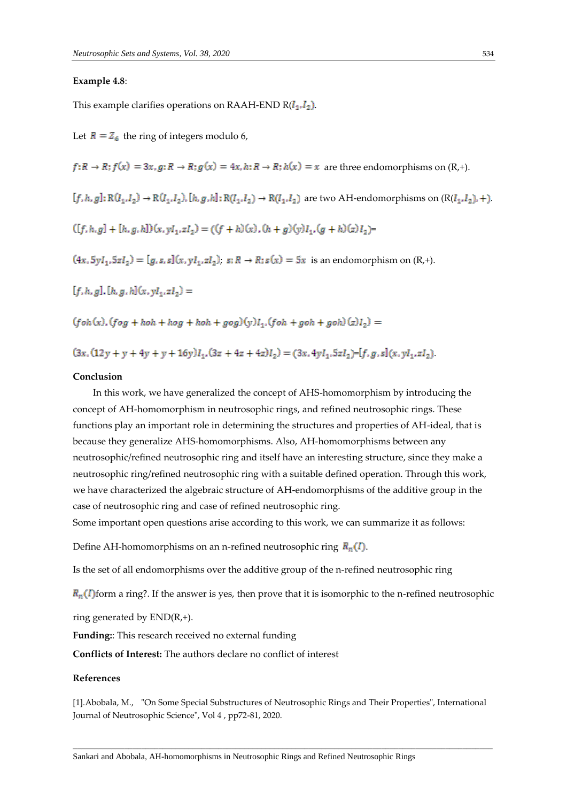#### **Example 4.8**:

This example clarifies operations on RAAH-END  $R(I_1, I_2)$ .

Let  $\overline{R} = Z_6$  the ring of integers modulo 6,  $f: R \to R; f(x) = 3x, g: R \to R; g(x) = 4x, h: R \to R; h(x) = x$  are three endomorphisms on  $(R,+)$ .  $[f,h,g]\colon \mathbb R(I_1,I_2)\to \mathbb R(I_1,I_2), [h,g,h]\colon \mathbb R(I_1,I_2)\to \mathbb R(I_1,I_2) \text{ are two AH-endomorphisms on }(\mathbb R(I_1,I_2),+)$  $([f, h, g] + [h, g, h])(x, vl_1, zI_2) = ((f + h)(x), (h + g)(v)I_1, (g + h)(z)I_2)$  $(4x, 5yI_1, 5zI_2) = [g, s, s](x, yI_1, zI_2), s: R \rightarrow R; s(x) = 5x$  is an endomorphism on  $(R,+)$ .  $[f, h, g], [h, g, h](x, yI_1, zI_2) =$  $(foh(x), (fog + hoh + hog + hoh + aog)(v)I_1, (foh + goh + goh)(z)I_2) =$ 

 $(3x, (12y + y + 4y + y + 16y)I_1, (3z + 4z + 4z)I_2) = (3x, 4yI_1, 5zI_2) = [f, g, s](x, yI_1, zI_2)$ 

#### **Conclusion**

In this work, we have generalized the concept of AHS-homomorphism by introducing the concept of AH-homomorphism in neutrosophic rings, and refined neutrosophic rings. These functions play an important role in determining the structures and properties of AH-ideal, that is because they generalize AHS-homomorphisms. Also, AH-homomorphisms between any neutrosophic/refined neutrosophic ring and itself have an interesting structure, since they make a neutrosophic ring/refined neutrosophic ring with a suitable defined operation. Through this work, we have characterized the algebraic structure of AH-endomorphisms of the additive group in the case of neutrosophic ring and case of refined neutrosophic ring.

Some important open questions arise according to this work, we can summarize it as follows:

Define AH-homomorphisms on an n-refined neutrosophic ring  $R_n(I)$ .

Is the set of all endomorphisms over the additive group of the n-refined neutrosophic ring

 $R_n(I)$  form a ring?. If the answer is yes, then prove that it is isomorphic to the n-refined neutrosophic

ring generated by END(R,+).

**Funding:**: This research received no external funding

**Conflicts of Interest:** The authors declare no conflict of interest

### **References**

[1].Abobala, M., "On Some Special Substructures of Neutrosophic Rings and Their Properties", International Journal of Neutrosophic Science", Vol 4 , pp72-81, 2020.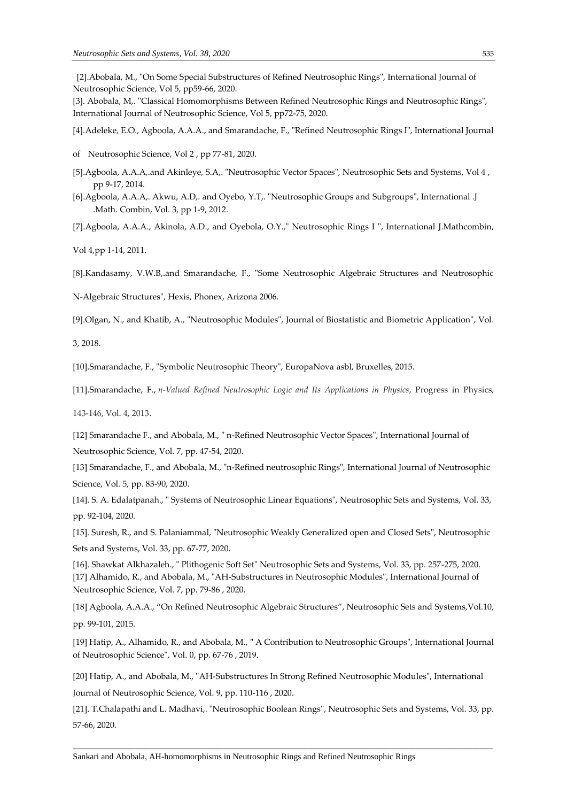[3]. Abobala, M,. "Classical Homomorphisms Between Refined Neutrosophic Rings and Neutrosophic Rings", International Journal of Neutrosophic Science, Vol 5, pp72-75, 2020.

[4].Adeleke, E.O., Agboola, A.A.A., and Smarandache, F., "Refined Neutrosophic Rings I", International Journal

- of Neutrosophic Science, Vol 2 , pp 77-81, 2020.
- [5].Agboola, A.A.A,.and Akinleye, S.A,. "Neutrosophic Vector Spaces", Neutrosophic Sets and Systems, Vol 4 , pp 9-17, 2014.
- [6].Agboola, A.A.A,. Akwu, A.D,. and Oyebo, Y.T,. "Neutrosophic Groups and Subgroups", International .J .Math. Combin, Vol. 3, pp 1-9, 2012.

[7].Agboola, A.A.A., Akinola, A.D., and Oyebola, O.Y.," Neutrosophic Rings I ", International J.Mathcombin,

Vol 4,pp 1-14, 2011.

[8].Kandasamy, V.W.B,.and Smarandache, F., "Some Neutrosophic Algebraic Structures and Neutrosophic

N-Algebraic Structures", Hexis, Phonex, Arizona 2006.

[9].Olgan, N., and Khatib, A., "Neutrosophic Modules", Journal of Biostatistic and Biometric Application", Vol.

3, 2018.

[10].Smarandache, F., "Symbolic Neutrosophic Theory", EuropaNova asbl, Bruxelles, 2015.

[11].Smarandache, F., *n-Valued Refined Neutrosophic Logic and Its Applications in Physics*, Progress in Physics,

143-146, Vol. 4, 2013.

[12] Smarandache F., and Abobala, M., " n-Refined Neutrosophic Vector Spaces", International Journal of Neutrosophic Science, Vol. 7, pp. 47-54, 2020.

[13] Smarandache, F., and Abobala, M., "n-Refined neutrosophic Rings", International Journal of Neutrosophic Science, Vol. 5, pp. 83-90, 2020.

[14]. S. A. Edalatpanah., " Systems of Neutrosophic Linear Equations", Neutrosophic Sets and Systems, Vol. 33, pp. 92-104, 2020.

[15]. Suresh, R., and S. Palaniammal, "Neutrosophic Weakly Generalized open and Closed Sets", Neutrosophic Sets and Systems, Vol. 33, pp. 67-77, 2020.

[16]. Shawkat Alkhazaleh., " Plithogenic Soft Set" Neutrosophic Sets and Systems, Vol. 33, pp. 257-275, 2020. [17] Alhamido, R., and Abobala, M., "AH-Substructures in Neutrosophic Modules", International Journal of Neutrosophic Science, Vol. 7, pp. 79-86 , 2020.

[18] Agboola, A.A.A., "On Refined Neutrosophic Algebraic Structures", Neutrosophic Sets and Systems,Vol.10, pp. 99-101, 2015.

[19] Hatip, A., Alhamido, R., and Abobala, M., **"** A Contribution to Neutrosophic Groups", International Journal of Neutrosophic Science", Vol. 0, pp. 67-76 , 2019.

[20] Hatip, A., and Abobala, M., "AH-Substructures In Strong Refined Neutrosophic Modules", International Journal of Neutrosophic Science, Vol. 9, pp. 110-116 , 2020.

[21]. T.Chalapathi and L. Madhavi,. "Neutrosophic Boolean Rings", Neutrosophic Sets and Systems, Vol. 33, pp. 57-66, 2020.